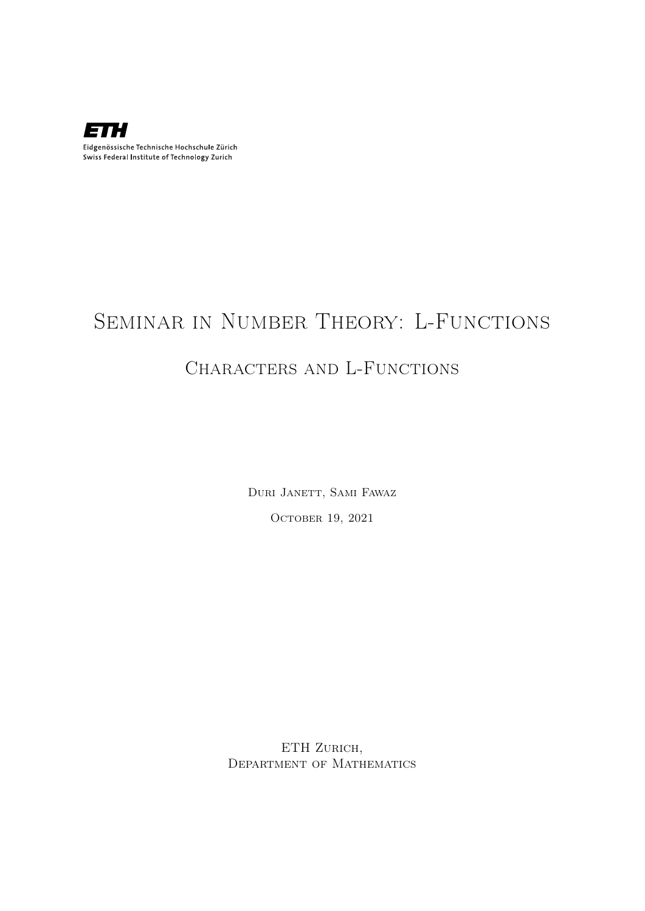

## Seminar in Number Theory: L-Functions

#### CHARACTERS AND L-FUNCTIONS

Duri Janett, Sami Fawaz OCTOBER 19, 2021

ETH ZURICH, Department of Mathematics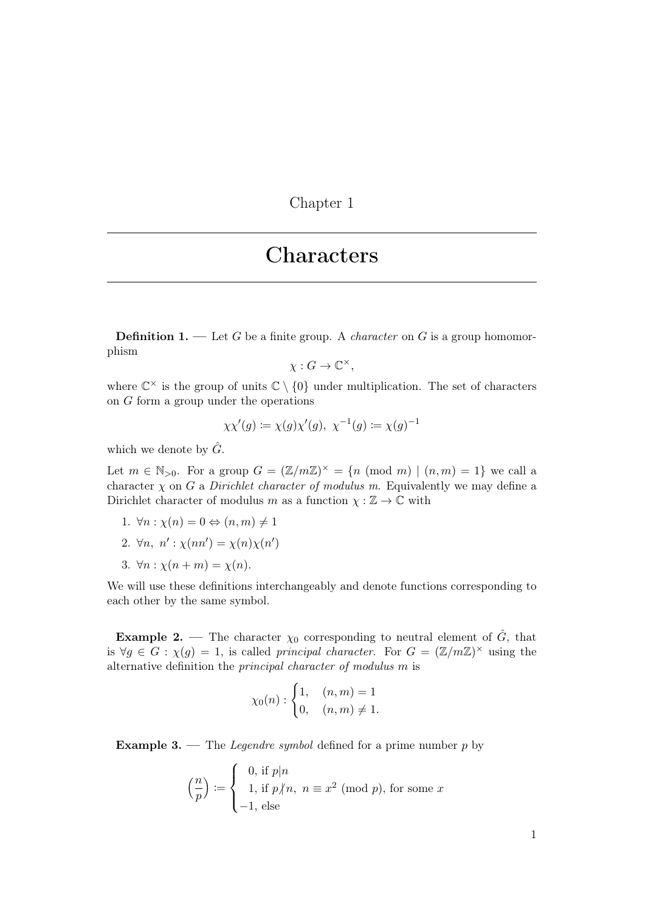Chapter 1

#### Characters

**Definition 1.** — Let G be a finite group. A *character* on G is a group homomorphism

$$
\chi: G \to \mathbb{C}^{\times},
$$

where  $\mathbb{C}^{\times}$  is the group of units  $\mathbb{C} \setminus \{0\}$  under multiplication. The set of characters on G form a group under the operations

$$
\chi \chi'(g) \coloneqq \chi(g) \chi'(g), \ \chi^{-1}(g) \coloneqq \chi(g)^{-1}
$$

which we denote by  $\hat{G}$ .

Let  $m \in \mathbb{N}_{>0}$ . For a group  $G = (\mathbb{Z}/m\mathbb{Z})^{\times} = \{n \pmod{m} \mid (n,m) = 1\}$  we call a character  $\chi$  on G a Dirichlet character of modulus m. Equivalently we may define a Dirichlet character of modulus m as a function  $\chi : \mathbb{Z} \to \mathbb{C}$  with

- 1.  $\forall n : \chi(n) = 0 \Leftrightarrow (n, m) \neq 1$
- 2.  $\forall n, n': \chi(nn') = \chi(n)\chi(n')$
- 3.  $\forall n : \chi(n+m) = \chi(n)$ .

We will use these definitions interchangeably and denote functions corresponding to each other by the same symbol.

**Example 2.** — The character  $\chi_0$  corresponding to neutral element of  $\hat{G}$ , that is  $\forall g \in G : \chi(g) = 1$ , is called principal character. For  $G = (\mathbb{Z}/m\mathbb{Z})^{\times}$  using the alternative definition the principal character of modulus m is

$$
\chi_0(n) : \begin{cases} 1, & (n,m) = 1 \\ 0, & (n,m) \neq 1. \end{cases}
$$

**Example 3.** — The *Legendre symbol* defined for a prime number  $p$  by

$$
\left(\frac{n}{p}\right) := \begin{cases} 0, \text{ if } p|n \\ 1, \text{ if } p/n, \ n \equiv x^2 \pmod{p}, \text{ for some } x \\ -1, \text{ else} \end{cases}
$$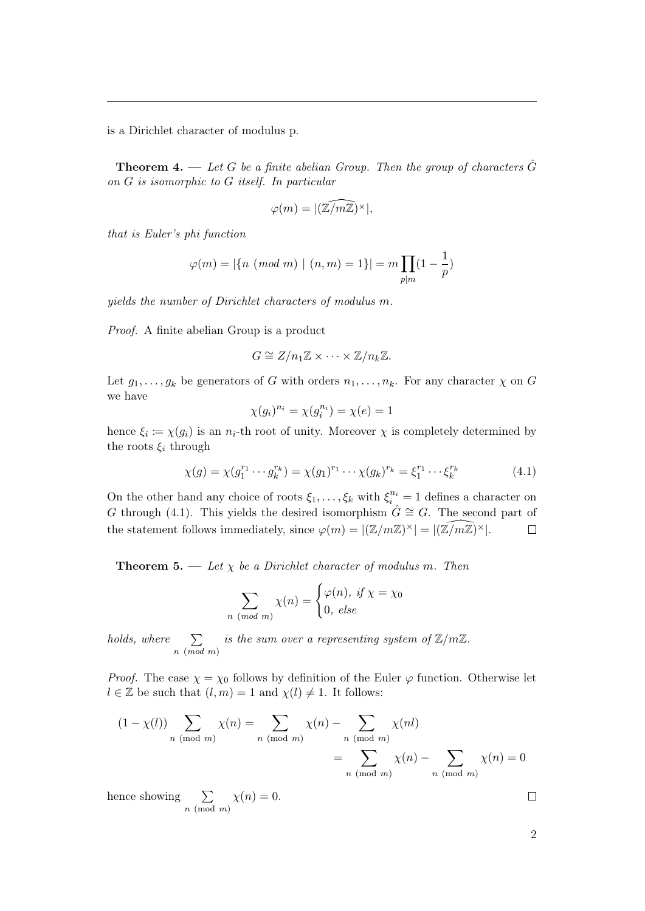is a Dirichlet character of modulus p.

<span id="page-2-1"></span>**Theorem 4.** — Let G be a finite abelian Group. Then the group of characters  $\hat{G}$ on G is isomorphic to G itself. In particular

$$
\varphi(m)=|(\widehat{\mathbb{Z}/m\mathbb{Z}})^{\times}|,
$$

that is Euler's phi function

$$
\varphi(m) = |\{n \pmod{m} \mid (n, m) = 1\}| = m \prod_{p|m} (1 - \frac{1}{p})
$$

yields the number of Dirichlet characters of modulus m.

Proof. A finite abelian Group is a product

$$
G \cong Z/n_1 \mathbb{Z} \times \cdots \times \mathbb{Z}/n_k \mathbb{Z}.
$$

Let  $g_1, \ldots, g_k$  be generators of G with orders  $n_1, \ldots, n_k$ . For any character  $\chi$  on G we have

$$
\chi(g_i)^{n_i} = \chi(g_i^{n_i}) = \chi(e) = 1
$$

hence  $\xi_i \coloneqq \chi(g_i)$  is an  $n_i$ -th root of unity. Moreover  $\chi$  is completely determined by the roots  $\xi_i$  through

<span id="page-2-0"></span>
$$
\chi(g) = \chi(g_1^{r_1} \cdots g_k^{r_k}) = \chi(g_1)^{r_1} \cdots \chi(g_k)^{r_k} = \xi_1^{r_1} \cdots \xi_k^{r_k}
$$
(4.1)

On the other hand any choice of roots  $\xi_1, \ldots, \xi_k$  with  $\xi_i^{n_i} = 1$  defines a character on G through [\(4.1\)](#page-2-0). This yields the desired isomorphism  $\hat{G} \cong G$ . The second part of the statement follows immediately, since  $\varphi(m) = |(\mathbb{Z}/m\mathbb{Z})^{\times}| = |(\widehat{\mathbb{Z}/m\mathbb{Z}})^{\times}|$ .  $\Box$ 

**Theorem 5.** — Let  $\chi$  be a Dirichlet character of modulus m. Then

$$
\sum_{n \pmod{m}} \chi(n) = \begin{cases} \varphi(n), & \text{if } \chi = \chi_0 \\ 0, & \text{else} \end{cases}
$$

holds, where  $\sum$ n (mod m) is the sum over a representing system of  $\mathbb{Z}/m\mathbb{Z}$ .

*Proof.* The case  $\chi = \chi_0$  follows by definition of the Euler  $\varphi$  function. Otherwise let  $l \in \mathbb{Z}$  be such that  $(l, m) = 1$  and  $\chi(l) \neq 1$ . It follows:

$$
(1 - \chi(l)) \sum_{n \pmod{m}} \chi(n) = \sum_{n \pmod{m}} \chi(n) - \sum_{n \pmod{m}} \chi(nl)
$$

$$
= \sum_{n \pmod{m}} \chi(n) - \sum_{n \pmod{m}} \chi(n) = 0
$$

hence showing  $\sum$  $n \pmod{m}$  $\chi(n)=0.$ 

 $\Box$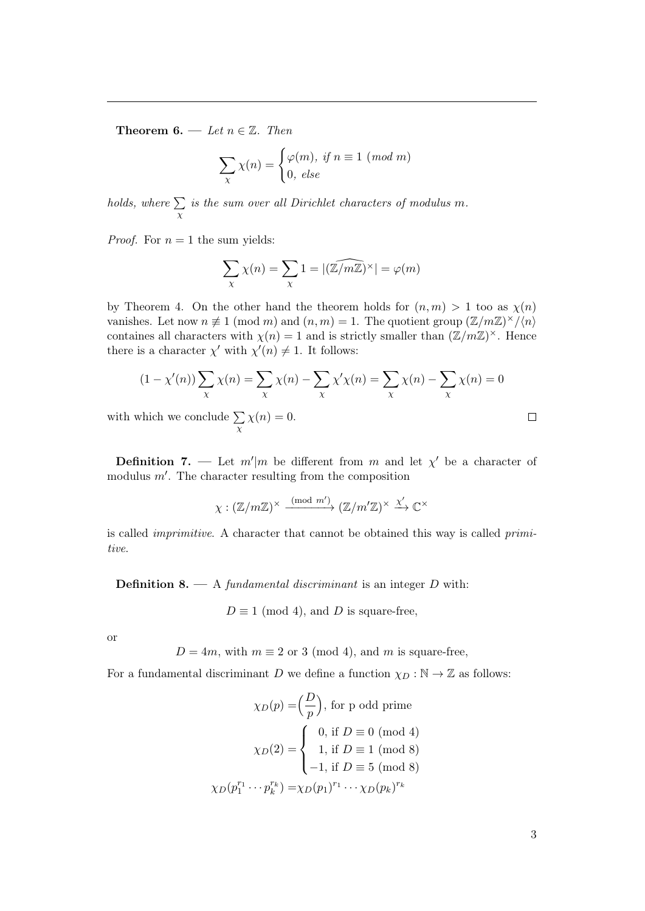Theorem 6. — Let  $n \in \mathbb{Z}$ . Then

$$
\sum_{\chi} \chi(n) = \begin{cases} \varphi(m), \text{ if } n \equiv 1 \pmod{m} \\ 0, \text{ else} \end{cases}
$$

holds, where  $\Sigma$ χ is the sum over all Dirichlet characters of modulus m.

*Proof.* For  $n = 1$  the sum yields:

$$
\sum_{\chi} \chi(n) = \sum_{\chi} 1 = |(\widehat{\mathbb{Z}/m\mathbb{Z}})^{\times}| = \varphi(m)
$$

by Theorem [4.](#page-2-1) On the other hand the theorem holds for  $(n, m) > 1$  too as  $\chi(n)$ vanishes. Let now  $n \neq 1 \pmod{m}$  and  $(n, m) = 1$ . The quotient group  $(\mathbb{Z}/m\mathbb{Z})^{\times}/\langle n \rangle$ containes all characters with  $\chi(n) = 1$  and is strictly smaller than  $(\mathbb{Z}/m\mathbb{Z})^{\times}$ . Hence there is a character  $\chi'$  with  $\chi'(n) \neq 1$ . It follows:

$$
(1 - \chi'(n)) \sum_{\chi} \chi(n) = \sum_{\chi} \chi(n) - \sum_{\chi} \chi' \chi(n) = \sum_{\chi} \chi(n) - \sum_{\chi} \chi(n) = 0
$$
  
which we conclude  $\sum \chi(n) = 0$ .

with which we conclude  $\Sigma$ χ  $\chi(n)=0.$ 

**Definition 7.** — Let  $m'|m$  be different from m and let  $\chi'$  be a character of modulus  $m'$ . The character resulting from the composition

$$
\chi: (\mathbb{Z}/m\mathbb{Z})^{\times} \xrightarrow{\pmod{m'}} (\mathbb{Z}/m'\mathbb{Z})^{\times} \xrightarrow{\chi'} \mathbb{C}^{\times}
$$

is called imprimitive. A character that cannot be obtained this way is called primitive.

**Definition 8.** — A fundamental discriminant is an integer  $D$  with:

 $D \equiv 1 \pmod{4}$ , and D is square-free,

or

$$
D = 4m
$$
, with  $m \equiv 2$  or 3 (mod 4), and m is square-free,

For a fundamental discriminant D we define a function  $\chi_D : \mathbb{N} \to \mathbb{Z}$  as follows:

$$
\chi_D(p) = \left(\frac{D}{p}\right), \text{ for p odd prime}
$$

$$
\chi_D(2) = \begin{cases} 0, \text{ if } D \equiv 0 \pmod{4} \\ 1, \text{ if } D \equiv 1 \pmod{8} \\ -1, \text{ if } D \equiv 5 \pmod{8} \end{cases}
$$

$$
\chi_D(p_1^{r_1} \cdots p_k^{r_k}) = \chi_D(p_1)^{r_1} \cdots \chi_D(p_k)^{r_k}
$$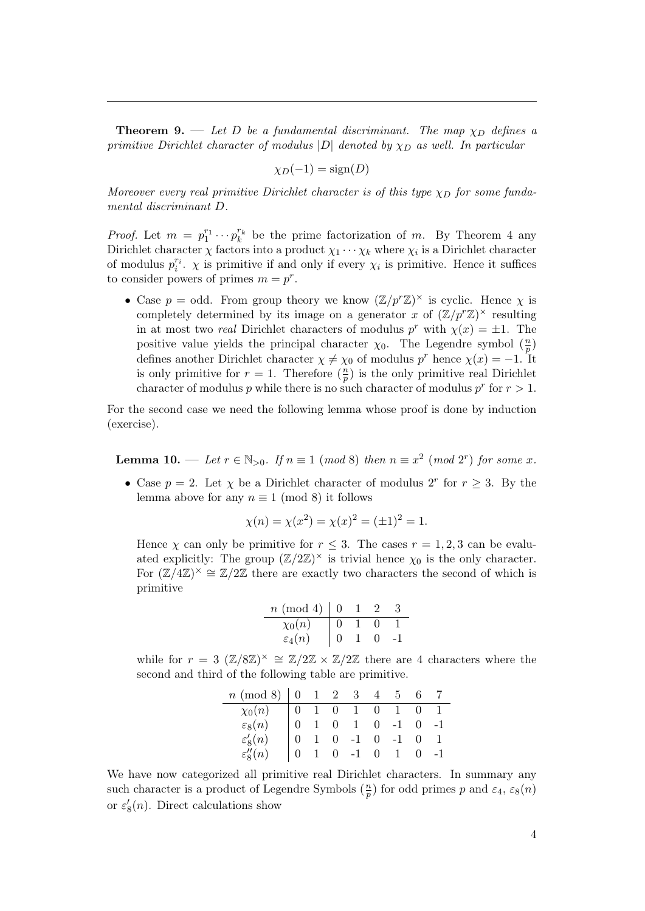**Theorem 9.** — Let D be a fundamental discriminant. The map  $\chi_D$  defines a primitive Dirichlet character of modulus  $|D|$  denoted by  $\chi_D$  as well. In particular

$$
\chi_D(-1) = \text{sign}(D)
$$

Moreover every real primitive Dirichlet character is of this type  $\chi_D$  for some fundamental discriminant D.

*Proof.* Let  $m = p_1^{r_1} \cdots p_k^{r_k}$  be the prime factorization of m. By Theorem [4](#page-2-1) any Dirichlet character  $\chi$  factors into a product  $\chi_1 \cdots \chi_k$  where  $\chi_i$  is a Dirichlet character of modulus  $p_i^{r_i}$ .  $\chi$  is primitive if and only if every  $\chi_i$  is primitive. Hence it suffices to consider powers of primes  $m = p^r$ .

• Case  $p = \text{odd}$ . From group theory we know  $(\mathbb{Z}/p^r\mathbb{Z})^{\times}$  is cyclic. Hence  $\chi$  is completely determined by its image on a generator x of  $(\mathbb{Z}/p^r\mathbb{Z})^{\times}$  resulting in at most two *real* Dirichlet characters of modulus  $p^r$  with  $\chi(x) = \pm 1$ . The positive value yields the principal character  $\chi_0$ . The Legendre symbol  $\left(\frac{n}{n}\right)$  $\frac{n}{p})$ defines another Dirichlet character  $\chi \neq \chi_0$  of modulus p<sup>r</sup> hence  $\chi(x) = -1$ . It is only primitive for  $r = 1$ . Therefore  $\left(\frac{n}{n}\right)$  $\frac{n}{p}$ ) is the only primitive real Dirichlet character of modulus p while there is no such character of modulus  $p^r$  for  $r > 1$ .

For the second case we need the following lemma whose proof is done by induction (exercise).

**Lemma 10.** — Let  $r \in \mathbb{N}_{>0}$ . If  $n \equiv 1 \pmod{8}$  then  $n \equiv x^2 \pmod{2^r}$  for some x.

• Case  $p = 2$ . Let  $\chi$  be a Dirichlet character of modulus  $2^r$  for  $r \geq 3$ . By the lemma above for any  $n \equiv 1 \pmod{8}$  it follows

$$
\chi(n) = \chi(x^2) = \chi(x)^2 = (\pm 1)^2 = 1.
$$

Hence  $\chi$  can only be primitive for  $r \leq 3$ . The cases  $r = 1, 2, 3$  can be evaluated explicitly: The group  $(\mathbb{Z}/2\mathbb{Z})^{\times}$  is trivial hence  $\chi_0$  is the only character. For  $(\mathbb{Z}/4\mathbb{Z})^{\times} \cong \mathbb{Z}/2\mathbb{Z}$  there are exactly two characters the second of which is primitive

| $n \pmod{4}$       |  |  |
|--------------------|--|--|
| $\chi_0(n)$        |  |  |
| $\varepsilon_4(n)$ |  |  |

while for  $r = 3$   $(\mathbb{Z}/8\mathbb{Z})^{\times} \cong \mathbb{Z}/2\mathbb{Z} \times \mathbb{Z}/2\mathbb{Z}$  there are 4 characters where the second and third of the following table are primitive.

| $n \pmod{8}$   0   1   2   3   4   5   6   7 |  |                                                                                                                                                                 |  |  |
|----------------------------------------------|--|-----------------------------------------------------------------------------------------------------------------------------------------------------------------|--|--|
| $\chi_0(n)$                                  |  |                                                                                                                                                                 |  |  |
| $\varepsilon_8(n)$                           |  |                                                                                                                                                                 |  |  |
| $\varepsilon'_{8}(n)$                        |  |                                                                                                                                                                 |  |  |
| $\varepsilon''_{8}(n)$                       |  | $\begin{array}{cccccccc} 1 & 0 & 1 & 0 & 1 & 0 & 1 \\ 1 & 0 & 1 & 0 & -1 & 0 & -1 \\ 1 & 0 & -1 & 0 & -1 & 0 & 1 \\ 1 & 0 & -1 & 0 & 1 & 0 & -1 \\ \end{array}$ |  |  |

We have now categorized all primitive real Dirichlet characters. In summary any such character is a product of Legendre Symbols  $\left(\frac{n}{n}\right)$  $\frac{n}{p}$ ) for odd primes p and  $\varepsilon_4$ ,  $\varepsilon_8(n)$ or  $\varepsilon'_{8}(n)$ . Direct calculations show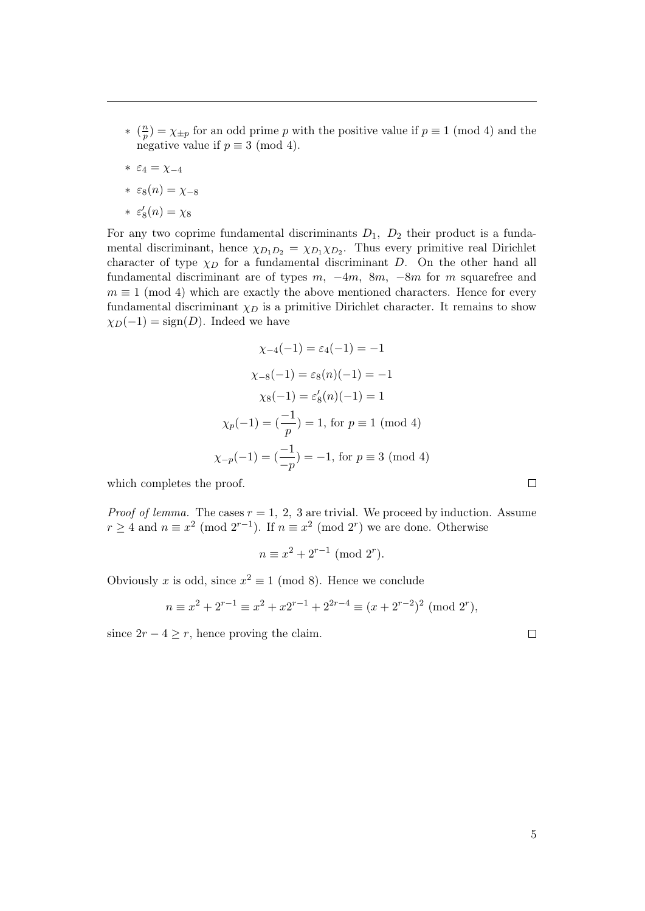- ∗ ( n  $\binom{n}{p} = \chi_{\pm p}$  for an odd prime p with the positive value if  $p \equiv 1 \pmod{4}$  and the negative value if  $p \equiv 3 \pmod{4}$ .
- ∗ ε<sup>4</sup> = χ−<sup>4</sup>
- $\ast \varepsilon_8(n) = \chi_{-8}$
- \*  $\varepsilon'_{8}(n) = \chi_{8}$

For any two coprime fundamental discriminants  $D_1$ ,  $D_2$  their product is a fundamental discriminant, hence  $\chi_{D_1D_2} = \chi_{D_1}\chi_{D_2}$ . Thus every primitive real Dirichlet character of type  $\chi_D$  for a fundamental discriminant D. On the other hand all fundamental discriminant are of types  $m$ ,  $-4m$ ,  $8m$ ,  $-8m$  for m squarefree and  $m \equiv 1 \pmod{4}$  which are exactly the above mentioned characters. Hence for every fundamental discriminant  $\chi_D$  is a primitive Dirichlet character. It remains to show  $\chi_D(-1) = \text{sign}(D)$ . Indeed we have

$$
\chi_{-4}(-1) = \varepsilon_4(-1) = -1
$$
  
\n
$$
\chi_{-8}(-1) = \varepsilon_8(n)(-1) = -1
$$
  
\n
$$
\chi_8(-1) = \varepsilon'_8(n)(-1) = 1
$$
  
\n
$$
\chi_p(-1) = \left(\frac{-1}{p}\right) = 1, \text{ for } p \equiv 1 \pmod{4}
$$
  
\n
$$
\chi_{-p}(-1) = \left(\frac{-1}{-p}\right) = -1, \text{ for } p \equiv 3 \pmod{4}
$$

which completes the proof.

*Proof of lemma.* The cases  $r = 1, 2, 3$  are trivial. We proceed by induction. Assume  $r \geq 4$  and  $n \equiv x^2 \pmod{2^{r-1}}$ . If  $n \equiv x^2 \pmod{2^r}$  we are done. Otherwise

$$
n \equiv x^2 + 2^{r-1} \pmod{2^r}.
$$

Obviously x is odd, since  $x^2 \equiv 1 \pmod{8}$ . Hence we conclude

$$
n \equiv x^2 + 2^{r-1} \equiv x^2 + x2^{r-1} + 2^{2r-4} \equiv (x + 2^{r-2})^2 \pmod{2^r},
$$

since  $2r - 4 \geq r$ , hence proving the claim.

5

 $\Box$ 

 $\Box$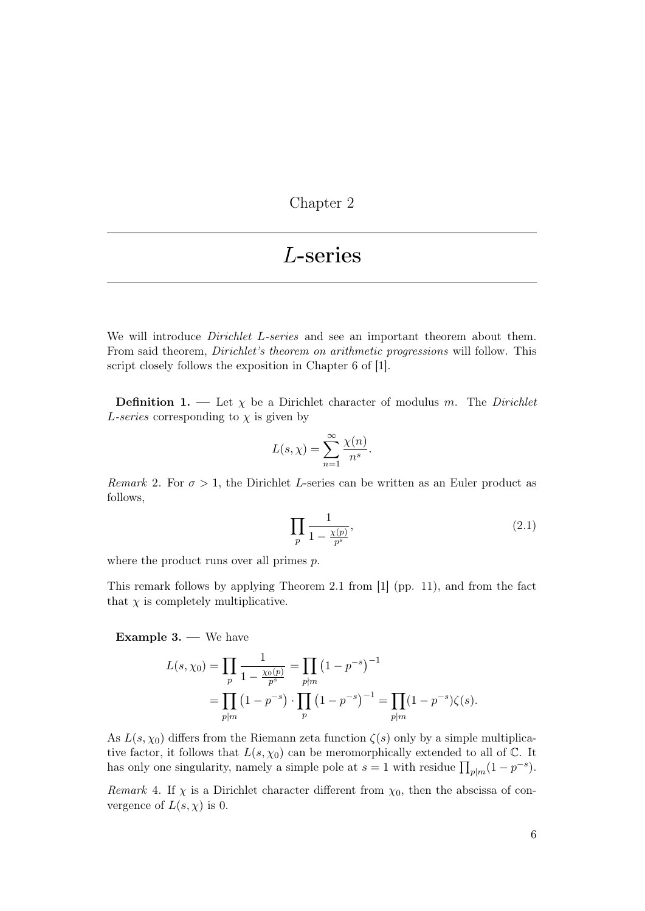Chapter 2

### L-series

We will introduce *Dirichlet L-series* and see an important theorem about them. From said theorem, Dirichlet's theorem on arithmetic progressions will follow. This script closely follows the exposition in Chapter 6 of [\[1\]](#page-11-0).

**Definition 1.** — Let  $\chi$  be a Dirichlet character of modulus m. The Dirichlet L-series corresponding to  $\chi$  is given by

$$
L(s,\chi)=\sum_{n=1}^{\infty}\frac{\chi(n)}{n^s}.
$$

Remark 2. For  $\sigma > 1$ , the Dirichlet L-series can be written as an Euler product as follows,

<span id="page-6-0"></span>
$$
\prod_{p} \frac{1}{1 - \frac{\chi(p)}{p^s}},\tag{2.1}
$$

where the product runs over all primes  $p$ .

This remark follows by applying Theorem 2.1 from [\[1\]](#page-11-0) (pp. 11), and from the fact that  $\chi$  is completely multiplicative.

<span id="page-6-2"></span>Example 3. — We have

$$
L(s, \chi_0) = \prod_p \frac{1}{1 - \frac{\chi_0(p)}{p^s}} = \prod_{p \nmid m} (1 - p^{-s})^{-1}
$$
  
= 
$$
\prod_{p \mid m} (1 - p^{-s}) \cdot \prod_p (1 - p^{-s})^{-1} = \prod_{p \mid m} (1 - p^{-s}) \zeta(s).
$$

As  $L(s, \chi_0)$  differs from the Riemann zeta function  $\zeta(s)$  only by a simple multiplicative factor, it follows that  $L(s, \chi_0)$  can be meromorphically extended to all of  $\mathbb{C}$ . It has only one singularity, namely a simple pole at  $s = 1$  with residue  $\prod_{p|m} (1 - p^{-s})$ .

<span id="page-6-1"></span>Remark 4. If  $\chi$  is a Dirichlet character different from  $\chi_0$ , then the abscissa of convergence of  $L(s, \chi)$  is 0.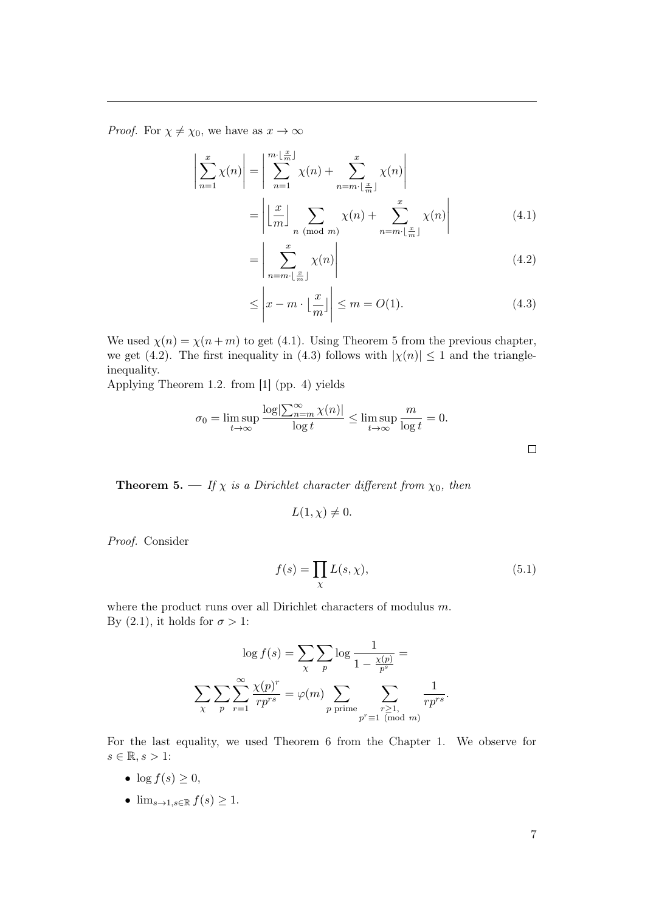*Proof.* For  $\chi \neq \chi_0$ , we have as  $x \to \infty$ 

 $\overline{\phantom{a}}$  $\overline{\phantom{a}}$  $\overline{\phantom{a}}$  $\overline{\phantom{a}}$  $\overline{1}$ 

$$
\sum_{n=1}^{x} \chi(n) \Big| = \Big| \sum_{n=1}^{m \cdot \lfloor \frac{x}{m} \rfloor} \chi(n) + \sum_{n=m \cdot \lfloor \frac{x}{m} \rfloor}^{x} \chi(n) \Big|
$$

$$
= \Big| \Big| \frac{x}{m} \Big| \sum_{n \pmod{m}} \chi(n) + \sum_{n=m \cdot \lfloor \frac{x}{m} \rfloor}^{x} \chi(n) \Big|
$$
(4.1)

<span id="page-7-1"></span><span id="page-7-0"></span>
$$
=\left|\sum_{n=m\cdot\lfloor\frac{x}{m}\rfloor}^{x}\chi(n)\right|
$$
\n(4.2)

<span id="page-7-2"></span>
$$
\leq \left| x - m \cdot \left\lfloor \frac{x}{m} \right\rfloor \right| \leq m = O(1). \tag{4.3}
$$

We used  $\chi(n) = \chi(n+m)$  to get [\(4.1\)](#page-7-0). Using Theorem 5 from the previous chapter, we get [\(4.2\)](#page-7-1). The first inequality in [\(4.3\)](#page-7-2) follows with  $|\chi(n)| \leq 1$  and the triangleinequality.

Applying Theorem 1.2. from [\[1\]](#page-11-0) (pp. 4) yields

$$
\sigma_0 = \limsup_{t \to \infty} \frac{\log \left| \sum_{n=m}^{\infty} \chi(n) \right|}{\log t} \le \limsup_{t \to \infty} \frac{m}{\log t} = 0.
$$

<span id="page-7-4"></span>**Theorem 5.** — If  $\chi$  is a Dirichlet character different from  $\chi_0$ , then

<span id="page-7-3"></span>
$$
L(1,\chi) \neq 0.
$$

Proof. Consider

$$
f(s) = \prod_{\chi} L(s, \chi), \tag{5.1}
$$

where the product runs over all Dirichlet characters of modulus  $m$ . By [\(2.1\)](#page-6-0), it holds for  $\sigma > 1$ :

$$
\log f(s) = \sum_{\chi} \sum_{p} \log \frac{1}{1 - \frac{\chi(p)}{p^s}} =
$$

$$
\sum_{\chi} \sum_{p} \sum_{r=1}^{\infty} \frac{\chi(p)^r}{rp^{rs}} = \varphi(m) \sum_{p \text{ prime}} \sum_{\substack{r \ge 1, \\ p^r \equiv 1 \pmod{m}}} \frac{1}{rp^{rs}}.
$$

For the last equality, we used Theorem 6 from the Chapter 1. We observe for  $s \in \mathbb{R}, s > 1$ :

- $\log f(s) \geq 0$ ,
- $\lim_{s\to 1, s\in\mathbb{R}} f(s) \geq 1$ .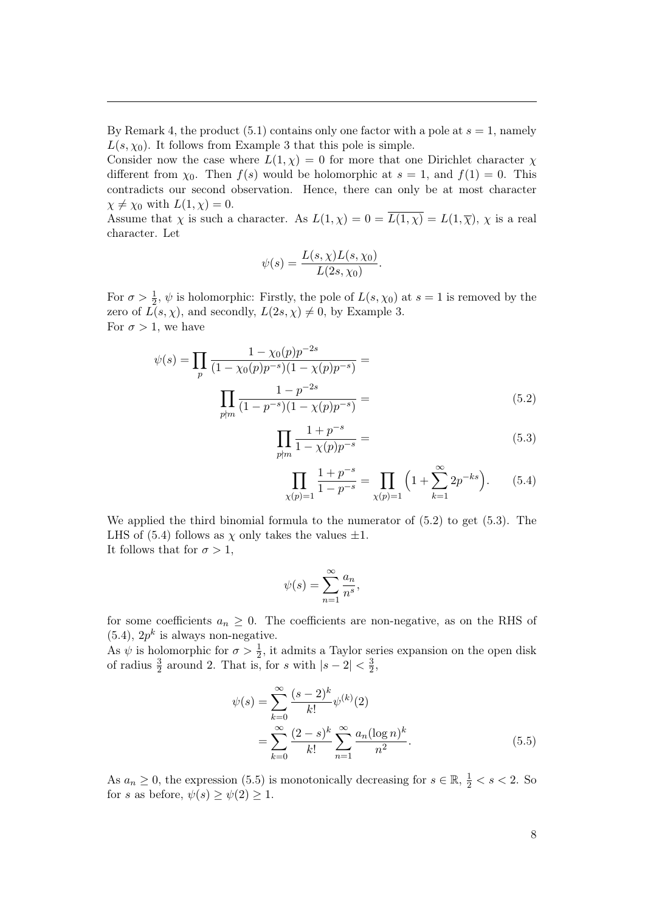By Remark [4,](#page-6-1) the product  $(5.1)$  contains only one factor with a pole at  $s = 1$ , namely  $L(s, \chi_0)$ . It follows from Example [3](#page-6-2) that this pole is simple.

Consider now the case where  $L(1, \chi) = 0$  for more that one Dirichlet character  $\chi$ different from  $\chi_0$ . Then  $f(s)$  would be holomorphic at  $s = 1$ , and  $f(1) = 0$ . This contradicts our second observation. Hence, there can only be at most character  $\chi \neq \chi_0$  with  $L(1, \chi) = 0$ .

Assume that  $\chi$  is such a character. As  $L(1,\chi)=0=\overline{L(1,\chi)}=L(1,\overline{\chi})$ ,  $\chi$  is a real character. Let

$$
\psi(s) = \frac{L(s, \chi)L(s, \chi_0)}{L(2s, \chi_0)}.
$$

For  $\sigma > \frac{1}{2}$ ,  $\psi$  is holomorphic: Firstly, the pole of  $L(s, \chi_0)$  at  $s = 1$  is removed by the zero of  $L(s, \chi)$ , and secondly,  $L(2s, \chi) \neq 0$ , by Example [3.](#page-6-2) For  $\sigma > 1$ , we have

$$
\psi(s) = \prod_{p} \frac{1 - \chi_0(p)p^{-2s}}{(1 - \chi_0(p)p^{-s})(1 - \chi(p)p^{-s})} = \prod_{p \nmid m} \frac{1 - p^{-2s}}{(1 - p^{-s})(1 - \chi(p)p^{-s})} = (5.2)
$$

$$
\prod_{p \nmid m} \frac{1 + p^{-s}}{1 - \chi(p)p^{-s}} = \tag{5.3}
$$

<span id="page-8-2"></span><span id="page-8-1"></span><span id="page-8-0"></span>
$$
\prod_{\chi(p)=1} \frac{1+p^{-s}}{1-p^{-s}} = \prod_{\chi(p)=1} \left(1+\sum_{k=1}^{\infty} 2p^{-ks}\right).
$$
 (5.4)

We applied the third binomial formula to the numerator of  $(5.2)$  to get  $(5.3)$ . The LHS of [\(5.4\)](#page-8-2) follows as  $\chi$  only takes the values  $\pm 1$ . It follows that for  $\sigma > 1$ ,

<span id="page-8-3"></span>
$$
\psi(s) = \sum_{n=1}^{\infty} \frac{a_n}{n^s},
$$

for some coefficients  $a_n \geq 0$ . The coefficients are non-negative, as on the RHS of  $(5.4)$ ,  $2p^k$  is always non-negative.

As  $\psi$  is holomorphic for  $\sigma > \frac{1}{2}$ , it admits a Taylor series expansion on the open disk of radius  $\frac{3}{2}$  around 2. That is, for s with  $|s - 2| < \frac{3}{2}$  $\frac{3}{2}$ 

$$
\psi(s) = \sum_{k=0}^{\infty} \frac{(s-2)^k}{k!} \psi^{(k)}(2)
$$

$$
= \sum_{k=0}^{\infty} \frac{(2-s)^k}{k!} \sum_{n=1}^{\infty} \frac{a_n (\log n)^k}{n^2}.
$$
(5.5)

As  $a_n \geq 0$ , the expression [\(5.5\)](#page-8-3) is monotonically decreasing for  $s \in \mathbb{R}$ ,  $\frac{1}{2} < s < 2$ . So for s as before,  $\psi(s) \geq \psi(2) \geq 1$ .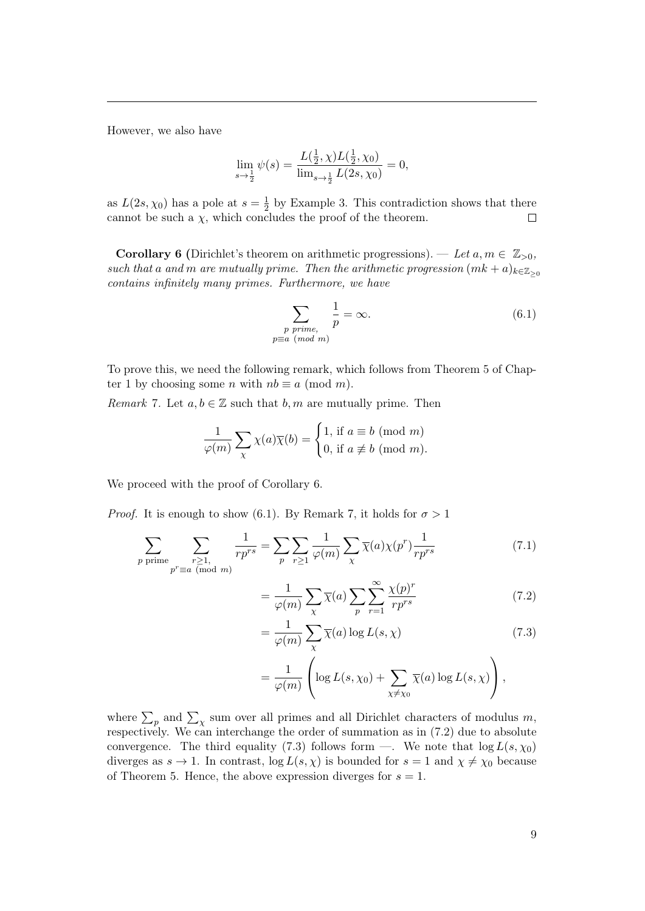However, we also have

$$
\lim_{s \to \frac{1}{2}} \psi(s) = \frac{L(\frac{1}{2}, \chi)L(\frac{1}{2}, \chi_0)}{\lim_{s \to \frac{1}{2}} L(2s, \chi_0)} = 0,
$$

as  $L(2s,\chi_0)$  has a pole at  $s=\frac{1}{2}$  $\frac{1}{2}$  by Example [3.](#page-6-2) This contradiction shows that there cannot be such a  $\chi$ , which concludes the proof of the theorem.  $\Box$ 

**Corollary 6** (Dirichlet's theorem on arithmetic progressions). — Let  $a, m \in \mathbb{Z}_{>0}$ , such that a and m are mutually prime. Then the arithmetic progression  $(mk + a)_{k \in \mathbb{Z}_{\geq 0}}$ contains infinitely many primes. Furthermore, we have

<span id="page-9-0"></span>
$$
\sum_{\substack{p \ prime, \\ p \equiv a \pmod{m}}} \frac{1}{p} = \infty.
$$
\n(6.1)

To prove this, we need the following remark, which follows from Theorem 5 of Chapter 1 by choosing some *n* with  $nb \equiv a \pmod{m}$ .

<span id="page-9-1"></span>*Remark* 7. Let  $a, b \in \mathbb{Z}$  such that  $b, m$  are mutually prime. Then

$$
\frac{1}{\varphi(m)} \sum_{\chi} \chi(a) \overline{\chi}(b) = \begin{cases} 1, \text{ if } a \equiv b \pmod{m} \\ 0, \text{ if } a \not\equiv b \pmod{m} \end{cases}
$$

We proceed with the proof of Corollary 6.

*Proof.* It is enough to show [\(6.1\)](#page-9-0). By Remark [7](#page-9-1), it holds for  $\sigma > 1$ 

=

$$
\sum_{p \text{ prime}} \sum_{\substack{r \ge 1, \\ p^r \equiv a \pmod{m}}} \frac{1}{rp^{rs}} = \sum_{p} \sum_{r \ge 1} \frac{1}{\varphi(m)} \sum_{\chi} \overline{\chi}(a) \chi(p^r) \frac{1}{rp^{rs}} \tag{7.1}
$$

<span id="page-9-4"></span><span id="page-9-3"></span><span id="page-9-2"></span>
$$
\frac{1}{\varphi(m)} \sum_{\chi} \overline{\chi}(a) \sum_{p} \sum_{r=1}^{\infty} \frac{\chi(p)^r}{rp^{rs}} \tag{7.2}
$$

$$
= \frac{1}{\varphi(m)} \sum_{\chi} \overline{\chi}(a) \log L(s, \chi)
$$
\n(7.3)

$$
= \frac{1}{\varphi(m)} \left( \log L(s, \chi_0) + \sum_{\chi \neq \chi_0} \overline{\chi}(a) \log L(s, \chi) \right),
$$

where  $\sum_{p}$  and  $\sum_{\chi}$  sum over all primes and all Dirichlet characters of modulus m, respectively. We can interchange the order of summation as in [\(7.2\)](#page-9-2) due to absolute convergence. The third equality [\(7.3\)](#page-9-3) follows form —. We note that  $\log L(s, \chi_0)$ diverges as  $s \to 1$ . In contrast,  $\log L(s, \chi)$  is bounded for  $s = 1$  and  $\chi \neq \chi_0$  because of Theorem [5](#page-7-4). Hence, the above expression diverges for  $s = 1$ .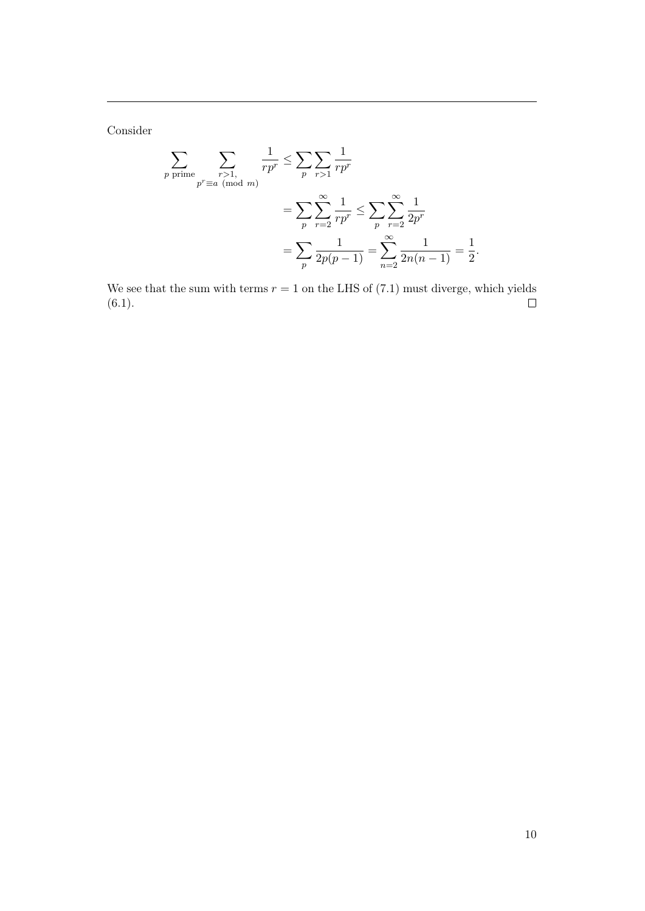Consider

$$
\sum_{p \text{ prime}} \sum_{\substack{r>1, \\ p^r \equiv a \pmod{m}}} \frac{1}{rp^r} \le \sum_{p} \sum_{r>1} \frac{1}{rp^r}
$$

$$
= \sum_{p} \sum_{r=2}^{\infty} \frac{1}{rp^r} \le \sum_{p} \sum_{r=2}^{\infty} \frac{1}{2p^r}
$$

$$
= \sum_{p} \frac{1}{2p(p-1)} = \sum_{n=2}^{\infty} \frac{1}{2n(n-1)} = \frac{1}{2}.
$$

We see that the sum with terms  $r = 1$  on the LHS of [\(7.1\)](#page-9-4) must diverge, which yields (6.1).  $(6.1).$  $(6.1).$